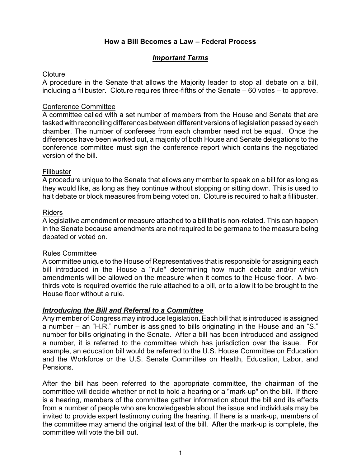# **How a Bill Becomes a Law – Federal Process**

# *Important Terms*

### <span id="page-0-1"></span>**Cloture**

A procedure in the Senate that allows the Majority leader to stop all debate on a bill, including a filibuster. Cloture requires three-fifths of the Senate – 60 votes – to approve.

### <span id="page-0-4"></span>Conference Committee

A committee called with a set number of members from the House and Senate that are tasked with reconciling differences between different versions of legislation passed by each chamber. The number of conferees from each chamber need not be equal. Once the differences have been worked out, a majority of both House and Senate delegations to the conference committee must sign the conference report which contains the negotiated version of the bill.

### <span id="page-0-3"></span>Filibuster

A procedure unique to the Senate that allows any member to speak on a bill for as long as they would like, as long as they continue without stopping or sitting down. This is used to halt debate or block measures from being voted on. Cloture is required to halt a fillibuster.

### <span id="page-0-2"></span>Riders

A legislative amendment or measure attached to a bill that is non-related. This can happen in the Senate because amendments are not required to be germane to the measure being debated or voted on.

#### <span id="page-0-0"></span>Rules Committee

A committee unique to the House of Representatives that is responsible for assigning each bill introduced in the House a "rule" determining how much debate and/or which amendments will be allowed on the measure when it comes to the House floor. A twothirds vote is required override the rule attached to a bill, or to allow it to be brought to the House floor without a rule.

#### *Introducing the Bill and Referral to a Committee*

Any member of Congress may introduce legislation. Each bill that is introduced is assigned a number – an "H.R." number is assigned to bills originating in the House and an "S." number for bills originating in the Senate. After a bill has been introduced and assigned a number, it is referred to the committee which has jurisdiction over the issue. For example, an education bill would be referred to the U.S. House Committee on Education and the Workforce or the U.S. Senate Committee on Health, Education, Labor, and Pensions.

After the bill has been referred to the appropriate committee, the chairman of the committee will decide whether or not to hold a hearing or a "mark-up" on the bill. If there is a hearing, members of the committee gather information about the bill and its effects from a number of people who are knowledgeable about the issue and individuals may be invited to provide expert testimony during the hearing. If there is a mark-up, members of the committee may amend the original text of the bill. After the mark-up is complete, the committee will vote the bill out.